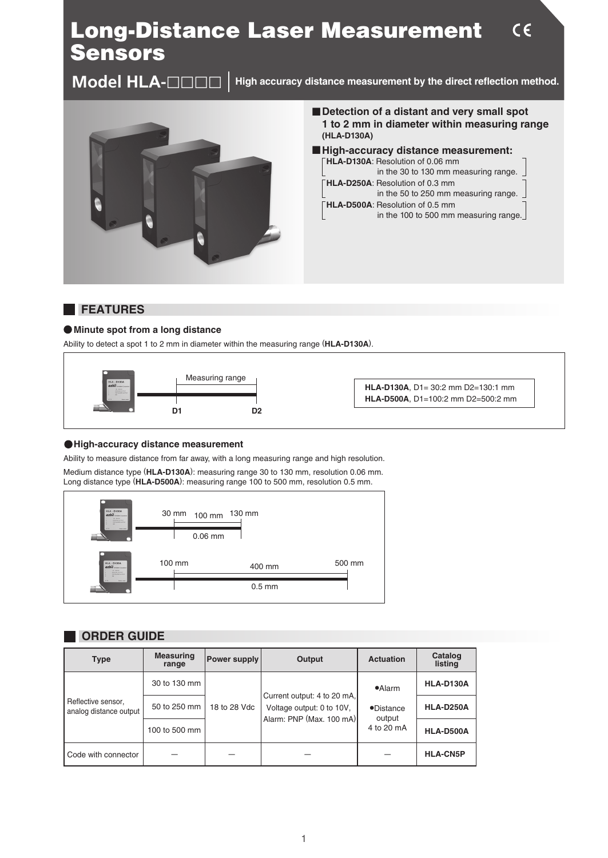# Long-Distance Laser Measurement Sensors

**Model HLA-**llll

**High accuracy distance measurement by the direct reflection method.**



■ Detection of a distant and very small spot **1 to 2 mm in diameter within measuring range (HLA-D130A)**

 $C \in$ 

 **High-accuracy distance measurement: HLA-D130A**: Resolution of 0.06 mm in the 30 to 130 mm measuring range. **HLA-D250A**: Resolution of 0.3 mm in the 50 to 250 mm measuring range. **HLA-D500A**: Resolution of 0.5 mm

in the 100 to 500 mm measuring range.

# **FEATURES**

#### **Minute spot from a long distance**

Ability to detect a spot 1 to 2 mm in diameter within the measuring range (**HLA-D130A**).



**HLA-D130A**, D1= 30:2 mm D2=130:1 mm **HLA-D500A**, D1=100:2 mm D2=500:2 mm

#### **High-accuracy distance measurement**

Ability to measure distance from far away, with a long measuring range and high resolution.

Medium distance type (**HLA-D130A**): measuring range 30 to 130 mm, resolution 0.06 mm. Long distance type (**HLA-D500A**): measuring range 100 to 500 mm, resolution 0.5 mm.



# **ORDER GUIDE**

| <b>Type</b>                                  | <b>Measuring</b><br>range | Power supply | Output                                                                               | <b>Actuation</b>                       | Catalog<br>listing |
|----------------------------------------------|---------------------------|--------------|--------------------------------------------------------------------------------------|----------------------------------------|--------------------|
| Reflective sensor,<br>analog distance output | 30 to 130 mm              | 18 to 28 Vdc | Current output: 4 to 20 mA,<br>Voltage output: 0 to 10V,<br>Alarm: PNP (Max. 100 mA) | $\bullet$ Alarm                        | HLA-D130A          |
|                                              | 50 to 250 mm              |              |                                                                                      | $\no$ Distance<br>output<br>4 to 20 mA | HLA-D250A          |
|                                              | 100 to 500 mm             |              |                                                                                      |                                        | HLA-D500A          |
| Code with connector                          |                           |              |                                                                                      |                                        | <b>HLA-CN5P</b>    |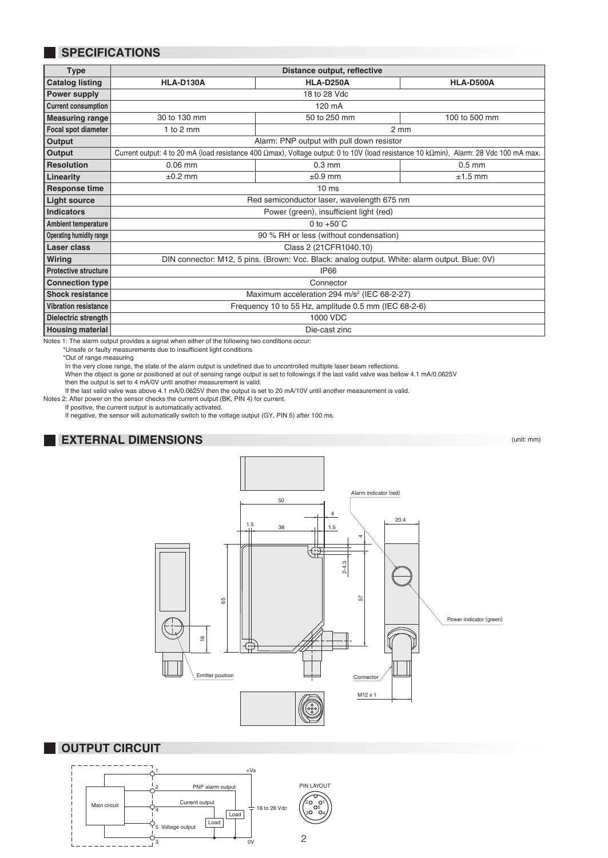# **SPECIFICATIONS**

| <b>Type</b>                 | Distance output, reflective                                                                                                           |                  |               |  |  |  |
|-----------------------------|---------------------------------------------------------------------------------------------------------------------------------------|------------------|---------------|--|--|--|
| <b>Catalog listing</b>      | HLA-D130A                                                                                                                             | HLA-D250A        | HLA-D500A     |  |  |  |
| Power supply                | 18 to 28 Vdc                                                                                                                          |                  |               |  |  |  |
| <b>Current consumption</b>  | 120 mA                                                                                                                                |                  |               |  |  |  |
| <b>Measuring range</b>      | 30 to 130 mm                                                                                                                          | 50 to 250 mm     | 100 to 500 mm |  |  |  |
| Focal spot diameter         | 1 to $2 \text{ mm}$                                                                                                                   | $2 \, \text{mm}$ |               |  |  |  |
| Output                      | Alarm: PNP output with pull down resistor                                                                                             |                  |               |  |  |  |
| Output                      | Current output: 4 to 20 mA (load resistance 400 Ωmax), Voltage output: 0 to 10V (load resistance 10 kΩmin), Alarm: 28 Vdc 100 mA max. |                  |               |  |  |  |
| <b>Resolution</b>           | $0.06$ mm                                                                                                                             | $0.3$ mm         | $0.5$ mm      |  |  |  |
| Linearity                   | $\pm 0.2$ mm                                                                                                                          | $\pm 0.9$ mm     | $±1.5$ mm     |  |  |  |
| Response time               | 10 <sub>ms</sub>                                                                                                                      |                  |               |  |  |  |
| <b>Light source</b>         | Red semiconductor laser, wavelength 675 nm                                                                                            |                  |               |  |  |  |
| <b>Indicators</b>           | Power (green), insufficient light (red)                                                                                               |                  |               |  |  |  |
| Ambient temperature         | 0 to $+50^{\circ}$ C                                                                                                                  |                  |               |  |  |  |
| Operating humidity range    | 90 % RH or less (without condensation)                                                                                                |                  |               |  |  |  |
| Laser class                 | Class 2 (21CFR1040.10)                                                                                                                |                  |               |  |  |  |
| Wiring                      | DIN connector: M12, 5 pins. (Brown: Vcc. Black: analog output. White: alarm output. Blue: 0V)                                         |                  |               |  |  |  |
| <b>Protective structure</b> | <b>IP66</b>                                                                                                                           |                  |               |  |  |  |
| <b>Connection type</b>      | Connector                                                                                                                             |                  |               |  |  |  |
| <b>Shock resistance</b>     | Maximum acceleration 294 m/s <sup>2</sup> (IEC 68-2-27)                                                                               |                  |               |  |  |  |
| <b>Vibration resistance</b> | Frequency 10 to 55 Hz, amplitude 0.5 mm (IEC 68-2-6)                                                                                  |                  |               |  |  |  |
| Dielectric strength         | 1000 VDC                                                                                                                              |                  |               |  |  |  |
| <b>Housing material</b>     | Die-cast zinc                                                                                                                         |                  |               |  |  |  |

Notes 1: The alarm output provides a signal when either of the following two conditions occur:

\*Unsafe or faulty measurements due to insufficient light conditions

\*Out of range measuring

In the very close range, the state of the alarm output is undefined due to uncontrolled multiple laser beam reflections.

When the object is gone or positioned at out of sensing range output is set to followings if the last valid valve was bellow 4.1 mA/0.0625V

then the output is set to 4 mA/0V until another measurement is valid. If the last valid valve was above 4.1 mA/0.0625V then the output is set to 20 mA/10V until another measurement is valid.

Notes 2: After power on the sensor checks the current output (BK, PIN 4) for current. If positive, the current output is automatically activated.

If negative, the sensor will automatically switch to the voltage output (GY, PIN 5) after 100 ms.

### **EXTERNAL DIMENSIONS**

(unit: mm)



#### **OUTPUT CIRCUIT**

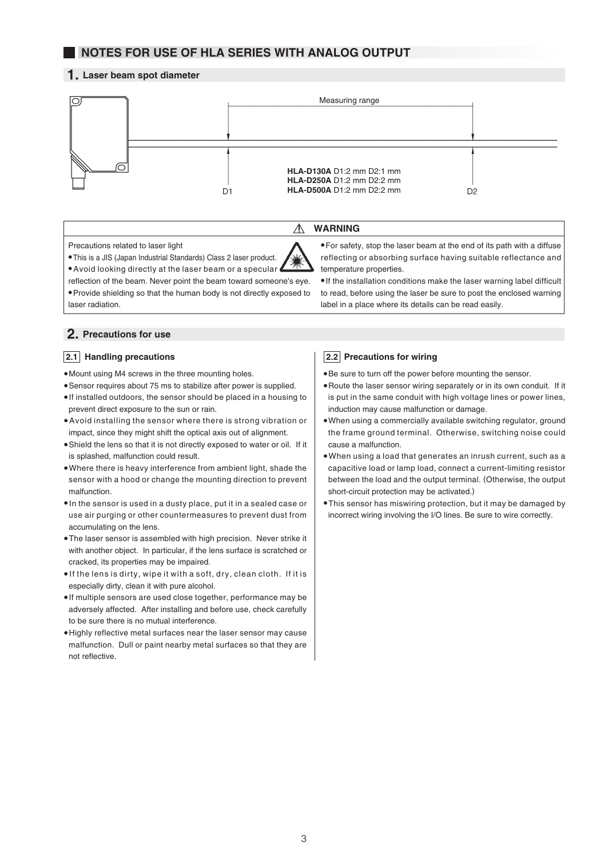# **NOTES FOR USE OF HLA SERIES WITH ANALOG OUTPUT**

#### **1. Laser beam spot diameter**



∧

**WARNING**

Precautions related to laser light

This is a JIS (Japan Industrial Standards) Class 2 laser product.

For safety, stop the laser beam at the end of its path with a diffuse reflecting or absorbing surface having suitable reflectance and temperature properties.

 If the installation conditions make the laser warning label difficult to read, before using the laser be sure to post the enclosed warning

Avoid looking directly at the laser beam or a specular reflection of the beam. Never point the beam toward someone's eye. Provide shielding so that the human body is not directly exposed to laser radiation.

#### **2. Precautions for use**

#### **2.1** Handling precautions

Mount using M4 screws in the three mounting holes.

- Sensor requires about 75 ms to stabilize after power is supplied.
- If installed outdoors, the sensor should be placed in a housing to prevent direct exposure to the sun or rain.
- Avoid installing the sensor where there is strong vibration or impact, since they might shift the optical axis out of alignment.
- Shield the lens so that it is not directly exposed to water or oil. If it is splashed, malfunction could result.
- Where there is heavy interference from ambient light, shade the sensor with a hood or change the mounting direction to prevent malfunction.
- In the sensor is used in a dusty place, put it in a sealed case or use air purging or other countermeasures to prevent dust from accumulating on the lens.
- The laser sensor is assembled with high precision. Never strike it with another object. In particular, if the lens surface is scratched or cracked, its properties may be impaired.
- $\bullet$  If the lens is dirty, wipe it with a soft, dry, clean cloth. If it is especially dirty, clean it with pure alcohol.
- If multiple sensors are used close together, performance may be adversely affected. After installing and before use, check carefully to be sure there is no mutual interference.
- Highly reflective metal surfaces near the laser sensor may cause malfunction. Dull or paint nearby metal surfaces so that they are not reflective.

#### **2.2** Precautions for wiring

Be sure to turn off the power before mounting the sensor.

label in a place where its details can be read easily.

- Route the laser sensor wiring separately or in its own conduit. If it is put in the same conduit with high voltage lines or power lines, induction may cause malfunction or damage.
- When using a commercially available switching regulator, ground the frame ground terminal. Otherwise, switching noise could cause a malfunction.
- When using a load that generates an inrush current, such as a capacitive load or lamp load, connect a current-limiting resistor between the load and the output terminal. (Otherwise, the output short-circuit protection may be activated.)
- This sensor has miswiring protection, but it may be damaged by incorrect wiring involving the I/O lines. Be sure to wire correctly.